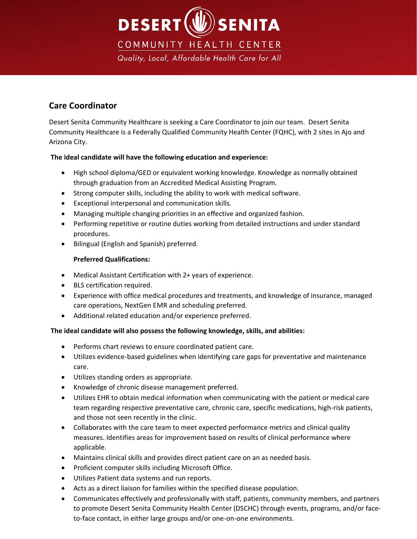

# **Care Coordinator**

Desert Senita Community Healthcare is seeking a Care Coordinator to join our team. Desert Senita Community Healthcare is a Federally Qualified Community Health Center (FQHC), with 2 sites in Ajo and Arizona City.

### **The ideal candidate will have the following education and experience:**

- High school diploma/GED or equivalent working knowledge. Knowledge as normally obtained through graduation from an Accredited Medical Assisting Program.
- Strong computer skills, including the ability to work with medical software.
- Exceptional interpersonal and communication skills.
- Managing multiple changing priorities in an effective and organized fashion.
- Performing repetitive or routine duties working from detailed instructions and under standard procedures.
- Bilingual (English and Spanish) preferred.

### **Preferred Qualifications:**

- Medical Assistant Certification with 2+ years of experience.
- BLS certification required.
- Experience with office medical procedures and treatments, and knowledge of insurance, managed care operations, NextGen EMR and scheduling preferred.
- Additional related education and/or experience preferred.

### **The ideal candidate will also possess the following knowledge, skills, and abilities:**

- Performs chart reviews to ensure coordinated patient care.
- Utilizes evidence-based guidelines when identifying care gaps for preventative and maintenance care.
- Utilizes standing orders as appropriate.
- Knowledge of chronic disease management preferred.
- Utilizes EHR to obtain medical information when communicating with the patient or medical care team regarding respective preventative care, chronic care, specific medications, high-risk patients, and those not seen recently in the clinic.
- Collaborates with the care team to meet expected performance metrics and clinical quality measures. Identifies areas for improvement based on results of clinical performance where applicable.
- Maintains clinical skills and provides direct patient care on an as needed basis.
- Proficient computer skills including Microsoft Office.
- Utilizes Patient data systems and run reports.
- Acts as a direct liaison for families within the specified disease population.
- Communicates effectively and professionally with staff, patients, community members, and partners to promote Desert Senita Community Health Center (DSCHC) through events, programs, and/or faceto-face contact, in either large groups and/or one-on-one environments.